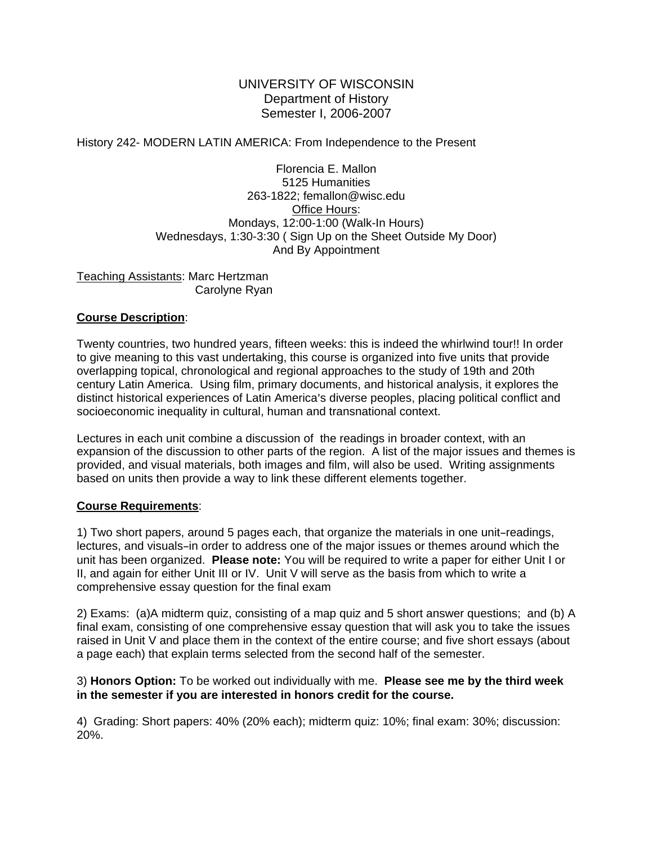## UNIVERSITY OF WISCONSIN Department of History Semester I, 2006-2007

#### History 242- MODERN LATIN AMERICA: From Independence to the Present

Florencia E. Mallon 5125 Humanities 263-1822; femallon@wisc.edu Office Hours: Mondays, 12:00-1:00 (Walk-In Hours) Wednesdays, 1:30-3:30 ( Sign Up on the Sheet Outside My Door) And By Appointment

Teaching Assistants: Marc Hertzman Carolyne Ryan

#### **Course Description**:

Twenty countries, two hundred years, fifteen weeks: this is indeed the whirlwind tour!! In order to give meaning to this vast undertaking, this course is organized into five units that provide overlapping topical, chronological and regional approaches to the study of 19th and 20th century Latin America. Using film, primary documents, and historical analysis, it explores the distinct historical experiences of Latin America's diverse peoples, placing political conflict and socioeconomic inequality in cultural, human and transnational context.

Lectures in each unit combine a discussion of the readings in broader context, with an expansion of the discussion to other parts of the region. A list of the major issues and themes is provided, and visual materials, both images and film, will also be used. Writing assignments based on units then provide a way to link these different elements together.

#### **Course Requirements**:

1) Two short papers, around 5 pages each, that organize the materials in one unit-readings, lectures, and visuals-in order to address one of the major issues or themes around which the unit has been organized. **Please note:** You will be required to write a paper for either Unit I or II, and again for either Unit III or IV. Unit V will serve as the basis from which to write a comprehensive essay question for the final exam

2) Exams: (a)A midterm quiz, consisting of a map quiz and 5 short answer questions; and (b) A final exam, consisting of one comprehensive essay question that will ask you to take the issues raised in Unit V and place them in the context of the entire course; and five short essays (about a page each) that explain terms selected from the second half of the semester.

## 3) **Honors Option:** To be worked out individually with me. **Please see me by the third week in the semester if you are interested in honors credit for the course.**

4) Grading: Short papers: 40% (20% each); midterm quiz: 10%; final exam: 30%; discussion: 20%.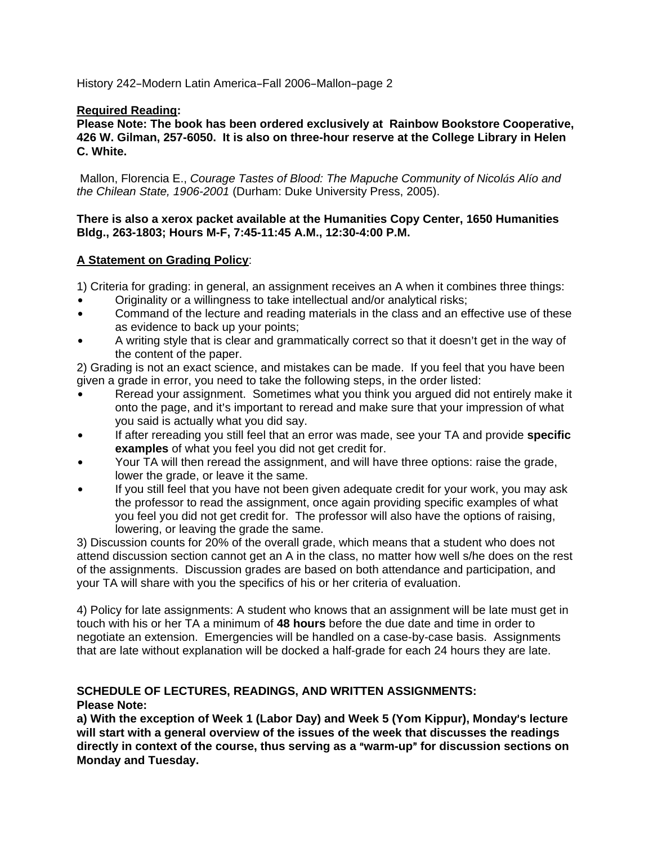## **Required Reading:**

**Please Note: The book has been ordered exclusively at Rainbow Bookstore Cooperative, 426 W. Gilman, 257-6050. It is also on three-hour reserve at the College Library in Helen C. White.** 

 Mallon, Florencia E., *Courage Tastes of Blood: The Mapuche Community of Nicolás Alío and the Chilean State, 1906-2001* (Durham: Duke University Press, 2005).

#### **There is also a xerox packet available at the Humanities Copy Center, 1650 Humanities Bldg., 263-1803; Hours M-F, 7:45-11:45 A.M., 12:30-4:00 P.M.**

## **A Statement on Grading Policy**:

1) Criteria for grading: in general, an assignment receives an A when it combines three things:

- Originality or a willingness to take intellectual and/or analytical risks;
- Command of the lecture and reading materials in the class and an effective use of these as evidence to back up your points;
- A writing style that is clear and grammatically correct so that it doesn't get in the way of the content of the paper.

2) Grading is not an exact science, and mistakes can be made. If you feel that you have been given a grade in error, you need to take the following steps, in the order listed:

- Reread your assignment. Sometimes what you think you argued did not entirely make it onto the page, and it's important to reread and make sure that your impression of what you said is actually what you did say.
- If after rereading you still feel that an error was made, see your TA and provide **specific examples** of what you feel you did not get credit for.
- Your TA will then reread the assignment, and will have three options: raise the grade, lower the grade, or leave it the same.
- If you still feel that you have not been given adequate credit for your work, you may ask the professor to read the assignment, once again providing specific examples of what you feel you did not get credit for. The professor will also have the options of raising, lowering, or leaving the grade the same.

3) Discussion counts for 20% of the overall grade, which means that a student who does not attend discussion section cannot get an A in the class, no matter how well s/he does on the rest of the assignments. Discussion grades are based on both attendance and participation, and your TA will share with you the specifics of his or her criteria of evaluation.

4) Policy for late assignments: A student who knows that an assignment will be late must get in touch with his or her TA a minimum of **48 hours** before the due date and time in order to negotiate an extension. Emergencies will be handled on a case-by-case basis. Assignments that are late without explanation will be docked a half-grade for each 24 hours they are late.

#### **SCHEDULE OF LECTURES, READINGS, AND WRITTEN ASSIGNMENTS: Please Note:**

a) With the exception of Week 1 (Labor Day) and Week 5 (Yom Kippur), Monday's lecture **will start with a general overview of the issues of the week that discusses the readings**  directly in context of the course, thus serving as a "warm-up" for discussion sections on **Monday and Tuesday.**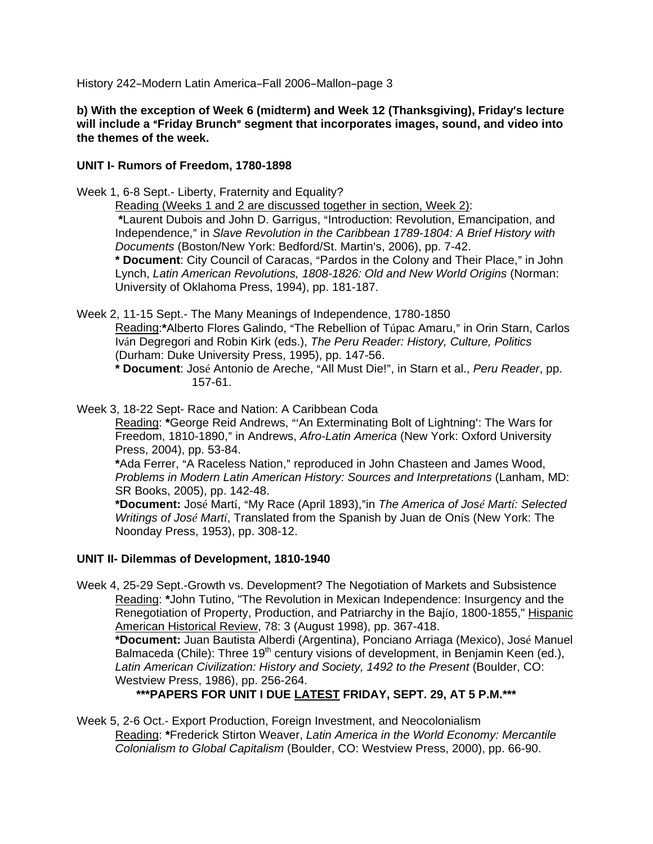**b)** With the exception of Week 6 (midterm) and Week 12 (Thanksgiving), Friday's lecture will include a "Friday Brunch" segment that incorporates images, sound, and video into **the themes of the week.** 

## **UNIT I- Rumors of Freedom, 1780-1898**

Week 1, 6-8 Sept.- Liberty, Fraternity and Equality?

Reading (Weeks 1 and 2 are discussed together in section, Week 2):

\*Laurent Dubois and John D. Garrigus, "Introduction: Revolution, Emancipation, and Independence," in *Slave Revolution in the Caribbean 1789-1804: A Brief History with Documents* (Boston/New York: Bedford/St. Martin's, 2006), pp. 7-42.

\* Document: City Council of Caracas, "Pardos in the Colony and Their Place," in John Lynch, *Latin American Revolutions, 1808-1826: Old and New World Origins* (Norman: University of Oklahoma Press, 1994), pp. 181-187.

Week 2, 11-15 Sept.- The Many Meanings of Independence, 1780-1850

Reading:\*Alberto Flores Galindo, "The Rebellion of Túpac Amaru," in Orin Starn, Carlos Iván Degregori and Robin Kirk (eds.), *The Peru Reader: History, Culture, Politics* (Durham: Duke University Press, 1995), pp. 147-56.

\* Document: José Antonio de Areche, "All Must Die!", in Starn et al., *Peru Reader*, pp. 157-61.

Week 3, 18-22 Sept- Race and Nation: A Caribbean Coda

Reading: \*George Reid Andrews, "An Exterminating Bolt of Lightning': The Wars for Freedom, 1810-1890," in Andrews, Afro-Latin America (New York: Oxford University Press, 2004), pp. 53-84.

\*Ada Ferrer, "A Raceless Nation," reproduced in John Chasteen and James Wood, *Problems in Modern Latin American History: Sources and Interpretations* (Lanham, MD: SR Books, 2005), pp. 142-48.

**\*Document:** José Martí, AMy Race (April 1893),@in *The America of José Martí: Selected Writings of José Martí*, Translated from the Spanish by Juan de Onís (New York: The Noonday Press, 1953), pp. 308-12.

## **UNIT II- Dilemmas of Development, 1810-1940**

Week 4, 25-29 Sept.-Growth vs. Development? The Negotiation of Markets and Subsistence Reading: **\***John Tutino, "The Revolution in Mexican Independence: Insurgency and the Renegotiation of Property, Production, and Patriarchy in the Bajío, 1800-1855," Hispanic American Historical Review, 78: 3 (August 1998), pp. 367-418.

**\*Document:** Juan Bautista Alberdi (Argentina), Ponciano Arriaga (Mexico), José Manuel Balmaceda (Chile): Three 19<sup>th</sup> century visions of development, in Benjamin Keen (ed.), *Latin American Civilization: History and Society, 1492 to the Present* (Boulder, CO: Westview Press, 1986), pp. 256-264.

**\*\*\*PAPERS FOR UNIT I DUE LATEST FRIDAY, SEPT. 29, AT 5 P.M.\*\*\***

Week 5, 2-6 Oct.- Export Production, Foreign Investment, and Neocolonialism Reading: **\***Frederick Stirton Weaver, *Latin America in the World Economy: Mercantile Colonialism to Global Capitalism* (Boulder, CO: Westview Press, 2000), pp. 66-90.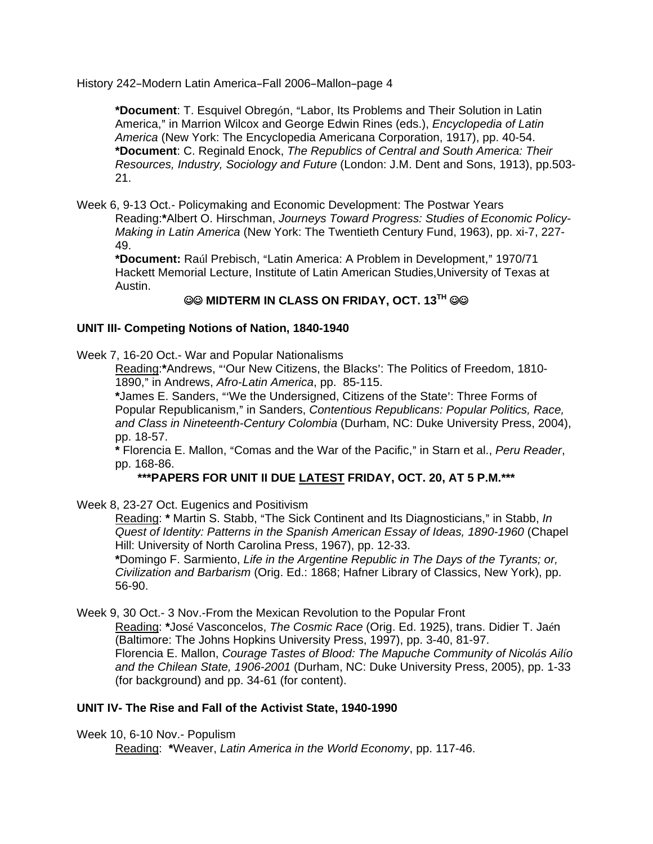\*Document: T. Esquivel Obregón, "Labor, Its Problems and Their Solution in Latin America," in Marrion Wilcox and George Edwin Rines (eds.), *Encyclopedia of Latin America* (New York: The Encyclopedia Americana Corporation, 1917), pp. 40-54. **\*Document**: C. Reginald Enock, *The Republics of Central and South America: Their Resources, Industry, Sociology and Future* (London: J.M. Dent and Sons, 1913), pp.503- 21.

Week 6, 9-13 Oct.- Policymaking and Economic Development: The Postwar Years Reading:**\***Albert O. Hirschman, *Journeys Toward Progress: Studies of Economic Policy-Making in Latin America* (New York: The Twentieth Century Fund, 1963), pp. xi-7, 227- 49.

\*Document: Raúl Prebisch, "Latin America: A Problem in Development," 1970/71 Hackett Memorial Lecture, Institute of Latin American Studies,University of Texas at Austin.

# **@@ MIDTERM IN CLASS ON FRIDAY, OCT. 13TH @@**

## **UNIT III- Competing Notions of Nation, 1840-1940**

Week 7, 16-20 Oct.- War and Popular Nationalisms

Reading:\*Andrews, "'Our New Citizens, the Blacks': The Politics of Freedom, 1810-1890," in Andrews, Afro-Latin America, pp. 85-115.

\*James E. Sanders, "'We the Undersigned, Citizens of the State': Three Forms of Popular Republicanism," in Sanders, *Contentious Republicans: Popular Politics, Race, and Class in Nineteenth-Century Colombia* (Durham, NC: Duke University Press, 2004), pp. 18-57.

\* Florencia E. Mallon, "Comas and the War of the Pacific," in Starn et al., *Peru Reader*, pp. 168-86.

**\*\*\*PAPERS FOR UNIT II DUE LATEST FRIDAY, OCT. 20, AT 5 P.M.\*\*\***

Week 8, 23-27 Oct. Eugenics and Positivism

Reading: *\** Martin S. Stabb, "The Sick Continent and Its Diagnosticians," in Stabb, *In Quest of Identity: Patterns in the Spanish American Essay of Ideas, 1890-1960* (Chapel Hill: University of North Carolina Press, 1967), pp. 12-33.

**\***Domingo F. Sarmiento, *Life in the Argentine Republic in The Days of the Tyrants; or, Civilization and Barbarism* (Orig. Ed.: 1868; Hafner Library of Classics, New York), pp. 56-90.

Week 9, 30 Oct.- 3 Nov.-From the Mexican Revolution to the Popular Front

Reading: **\***José Vasconcelos, *The Cosmic Race* (Orig. Ed. 1925), trans. Didier T. Jaén (Baltimore: The Johns Hopkins University Press, 1997), pp. 3-40, 81-97. Florencia E. Mallon, *Courage Tastes of Blood: The Mapuche Community of Nicolás Ailío and the Chilean State, 1906-2001* (Durham, NC: Duke University Press, 2005), pp. 1-33 (for background) and pp. 34-61 (for content).

## **UNIT IV- The Rise and Fall of the Activist State, 1940-1990**

Week 10, 6-10 Nov.- Populism

Reading: **\***Weaver, *Latin America in the World Economy*, pp. 117-46.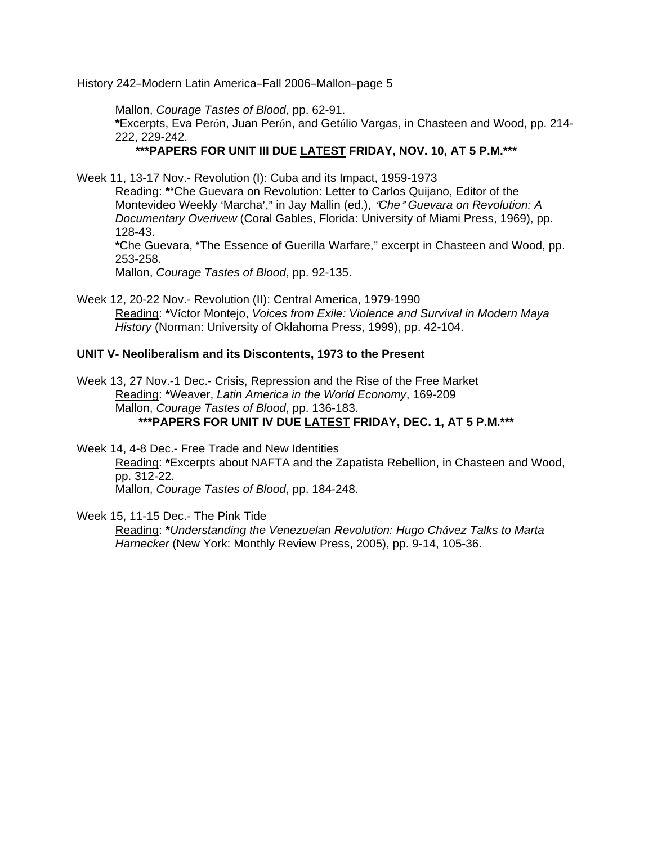Mallon, *Courage Tastes of Blood*, pp. 62-91.

**\***Excerpts, Eva Perón, Juan Perón, and Getúlio Vargas, in Chasteen and Wood, pp. 214- 222, 229-242.

## **\*\*\*PAPERS FOR UNIT III DUE LATEST FRIDAY, NOV. 10, AT 5 P.M.\*\*\***

Week 11, 13-17 Nov.- Revolution (I): Cuba and its Impact, 1959-1973

Reading: \*"Che Guevara on Revolution: Letter to Carlos Quijano, Editor of the Montevideo Weekly 'Marcha'," in Jay Mallin (ed.), "Che" Guevara on Revolution: A *Documentary Overivew* (Coral Gables, Florida: University of Miami Press, 1969), pp. 128-43.

\*Che Guevara, "The Essence of Guerilla Warfare," excerpt in Chasteen and Wood, pp. 253-258.

Mallon, *Courage Tastes of Blood*, pp. 92-135.

Week 12, 20-22 Nov.- Revolution (II): Central America, 1979-1990 Reading: **\***Víctor Montejo, *Voices from Exile: Violence and Survival in Modern Maya History* (Norman: University of Oklahoma Press, 1999), pp. 42-104.

## **UNIT V- Neoliberalism and its Discontents, 1973 to the Present**

Week 13, 27 Nov.-1 Dec.- Crisis, Repression and the Rise of the Free Market Reading: **\***Weaver, *Latin America in the World Economy*, 169-209 Mallon, *Courage Tastes of Blood*, pp. 136-183. **\*\*\*PAPERS FOR UNIT IV DUE LATEST FRIDAY, DEC. 1, AT 5 P.M.\*\*\***

Week 14, 4-8 Dec.- Free Trade and New Identities Reading: **\***Excerpts about NAFTA and the Zapatista Rebellion, in Chasteen and Wood, pp. 312-22. Mallon, *Courage Tastes of Blood*, pp. 184-248.

Week 15, 11-15 Dec.- The Pink Tide

Reading: **\****Understanding the Venezuelan Revolution: Hugo Chávez Talks to Marta Harnecker* (New York: Monthly Review Press, 2005), pp. 9-14, 105-36.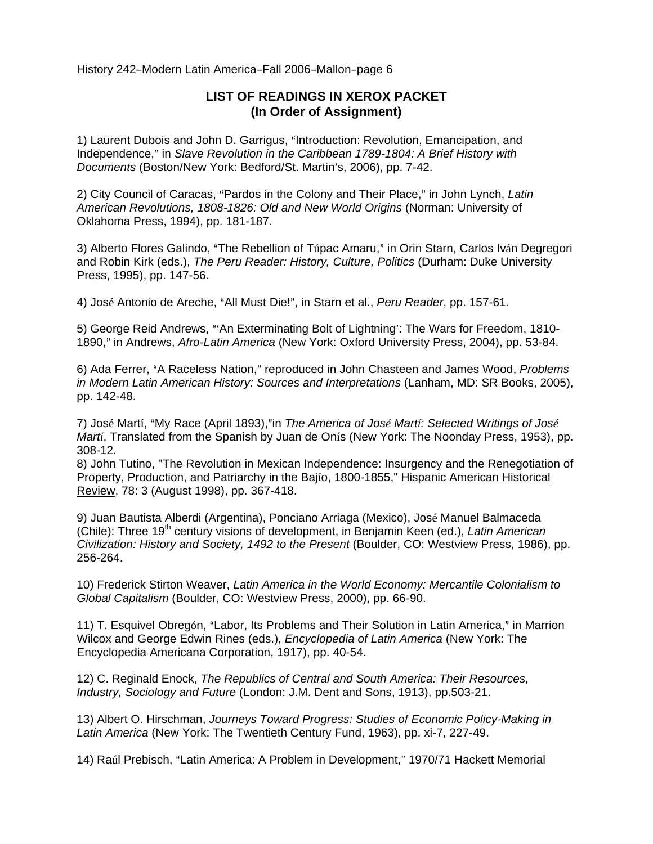# **LIST OF READINGS IN XEROX PACKET (In Order of Assignment)**

1) Laurent Dubois and John D. Garrigus, "Introduction: Revolution, Emancipation, and Independence," in *Slave Revolution in the Caribbean 1789-1804: A Brief History with Documents* (Boston/New York: Bedford/St. Martin's, 2006), pp. 7-42.

2) City Council of Caracas, "Pardos in the Colony and Their Place," in John Lynch, *Latin American Revolutions, 1808-1826: Old and New World Origins* (Norman: University of Oklahoma Press, 1994), pp. 181-187.

3) Alberto Flores Galindo, "The Rebellion of Túpac Amaru," in Orin Starn, Carlos Iván Degregori and Robin Kirk (eds.), *The Peru Reader: History, Culture, Politics* (Durham: Duke University Press, 1995), pp. 147-56.

4) José Antonio de Areche, "All Must Die!", in Starn et al., *Peru Reader*, pp. 157-61.

5) George Reid Andrews, "'An Exterminating Bolt of Lightning': The Wars for Freedom, 1810-1890," in Andrews, *Afro-Latin America* (New York: Oxford University Press, 2004), pp. 53-84.

6) Ada Ferrer, "A Raceless Nation," reproduced in John Chasteen and James Wood, *Problems in Modern Latin American History: Sources and Interpretations* (Lanham, MD: SR Books, 2005), pp. 142-48.

7) José Martí, "My Race (April 1893),"in *The America of José Martí: Selected Writings of José Martí*, Translated from the Spanish by Juan de Onís (New York: The Noonday Press, 1953), pp. 308-12.

8) John Tutino, "The Revolution in Mexican Independence: Insurgency and the Renegotiation of Property, Production, and Patriarchy in the Bajío, 1800-1855," Hispanic American Historical Review, 78: 3 (August 1998), pp. 367-418.

9) Juan Bautista Alberdi (Argentina), Ponciano Arriaga (Mexico), José Manuel Balmaceda (Chile): Three 19<sup>th</sup> century visions of development, in Benjamin Keen (ed.), *Latin American Civilization: History and Society, 1492 to the Present* (Boulder, CO: Westview Press, 1986), pp. 256-264.

10) Frederick Stirton Weaver, *Latin America in the World Economy: Mercantile Colonialism to Global Capitalism* (Boulder, CO: Westview Press, 2000), pp. 66-90.

11) T. Esquivel Obregón, "Labor, Its Problems and Their Solution in Latin America," in Marrion Wilcox and George Edwin Rines (eds.), *Encyclopedia of Latin America* (New York: The Encyclopedia Americana Corporation, 1917), pp. 40-54.

12) C. Reginald Enock, *The Republics of Central and South America: Their Resources, Industry, Sociology and Future* (London: J.M. Dent and Sons, 1913), pp.503-21.

13) Albert O. Hirschman, *Journeys Toward Progress: Studies of Economic Policy-Making in Latin America* (New York: The Twentieth Century Fund, 1963), pp. xi-7, 227-49.

14) Raúl Prebisch, "Latin America: A Problem in Development," 1970/71 Hackett Memorial